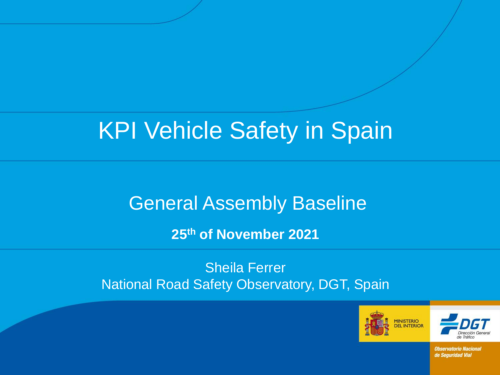# KPI Vehicle Safety in Spain

# General Assembly Baseline

**25th of November 2021**

Sheila Ferrer National Road Safety Observatory, DGT, Spain



Dirección Gener de Tráfier

**Observatorio Nacional** de Seguridad Vial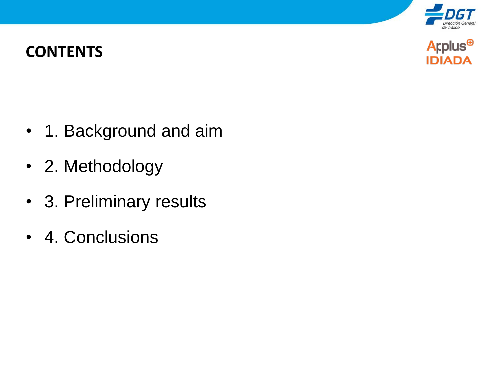

#### **CONTENTS**



- 1. Background and aim
- 2. Methodology
- 3. Preliminary results
- 4. Conclusions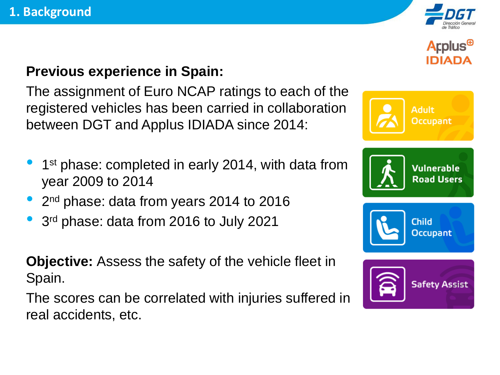

#### **Previous experience in Spain:**

The assignment of Euro NCAP ratings to each of the registered vehicles has been carried in collaboration between DGT and Applus IDIADA since 2014:

- 1<sup>st</sup> phase: completed in early 2014, with data from year 2009 to 2014
- 2<sup>nd</sup> phase: data from years 2014 to 2016
- <sup>3</sup> rd phase: data from 2016 to July 2021

**Objective:** Assess the safety of the vehicle fleet in Spain.

The scores can be correlated with injuries suffered in real accidents, etc.







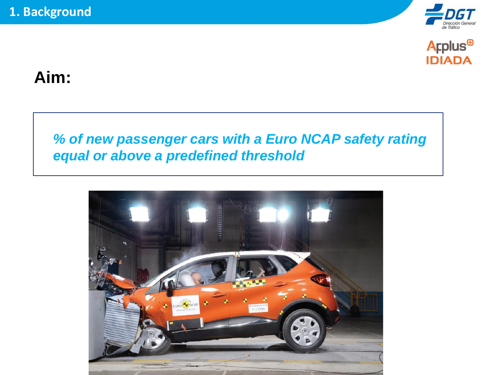



#### **Aim:**

#### *% of new passenger cars with a Euro NCAP safety rating equal or above a predefined threshold*

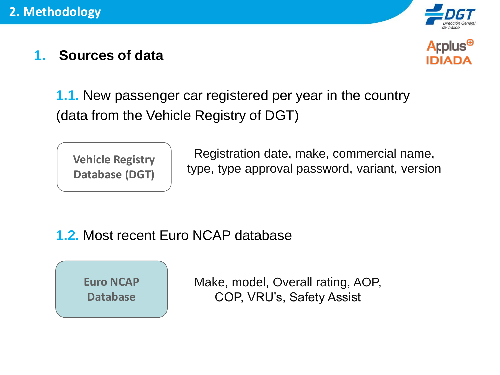

#### **1. Sources of data**



**1.1.** New passenger car registered per year in the country (data from the Vehicle Registry of DGT)

**Vehicle Registry Database (DGT)**

Registration date, make, commercial name, type, type approval password, variant, version

#### **1.2.** Most recent Euro NCAP database



Make, model, Overall rating, AOP, COP, VRU's, Safety Assist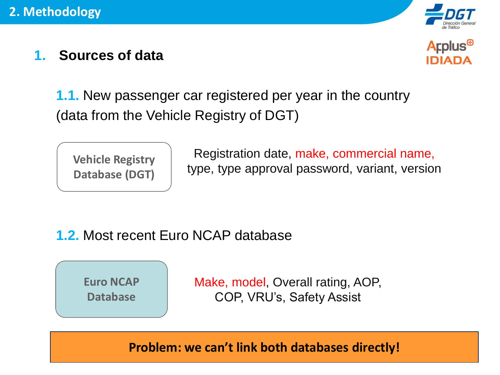

#### **1. Sources of data**



**1.1.** New passenger car registered per year in the country (data from the Vehicle Registry of DGT)

**Vehicle Registry Database (DGT)**

Registration date, make, commercial name, type, type approval password, variant, version

#### **1.2.** Most recent Euro NCAP database



Make, model, Overall rating, AOP, COP, VRU's, Safety Assist

**Problem: we can't link both databases directly!**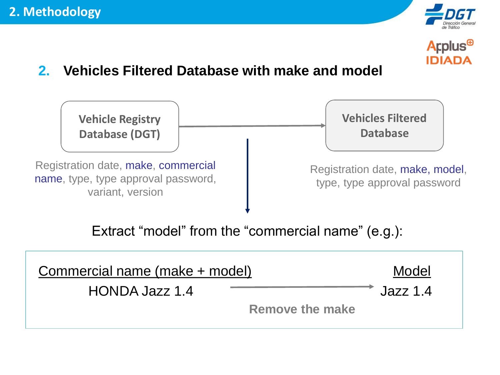



#### **2. Vehicles Filtered Database with make and model**

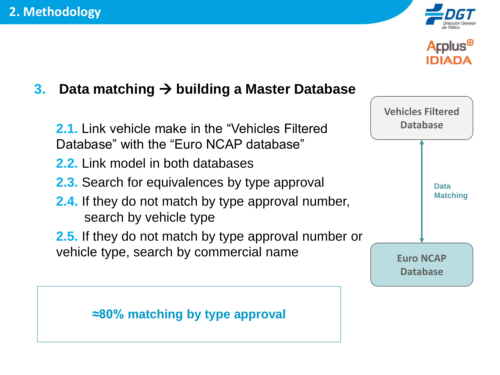



#### **3. Data matching** → **building a Master Database**

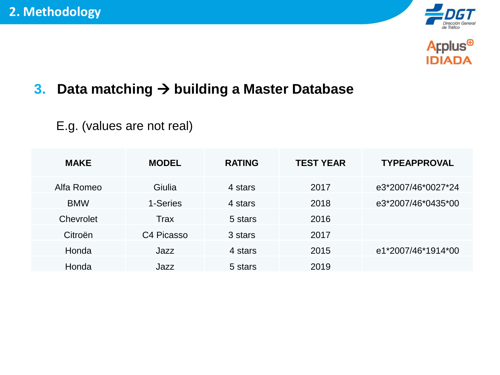



#### **3. Data matching** → **building a Master Database**

#### E.g. (values are not real)

| <b>MAKE</b> | <b>MODEL</b>           | <b>RATING</b> | <b>TEST YEAR</b> | <b>TYPEAPPROVAL</b> |
|-------------|------------------------|---------------|------------------|---------------------|
| Alfa Romeo  | Giulia                 | 4 stars       | 2017             | e3*2007/46*0027*24  |
| <b>BMW</b>  | 1-Series               | 4 stars       | 2018             | e3*2007/46*0435*00  |
| Chevrolet   | <b>Trax</b>            | 5 stars       | 2016             |                     |
| Citroën     | C <sub>4</sub> Picasso | 3 stars       | 2017             |                     |
| Honda       | Jazz                   | 4 stars       | 2015             | e1*2007/46*1914*00  |
| Honda       | Jazz                   | 5 stars       | 2019             |                     |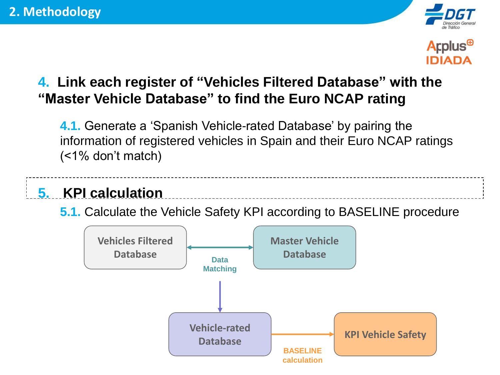



#### **4. Link each register of "Vehicles Filtered Database" with the "Master Vehicle Database" to find the Euro NCAP rating**

**4.1.** Generate a 'Spanish Vehicle-rated Database' by pairing the information of registered vehicles in Spain and their Euro NCAP ratings (<1% don't match)

### **5. KPI calculation**

**5.1.** Calculate the Vehicle Safety KPI according to BASELINE procedure

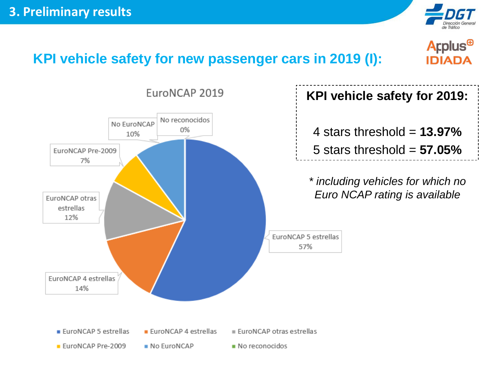



#### **KPI vehicle safety for new passenger cars in 2019 (I):**

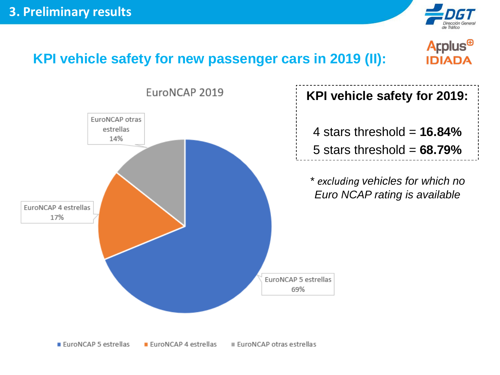

#### Applus<sup>®</sup> **IDIADA**



**KPI vehicle safety for new passenger cars in 2019 (II):**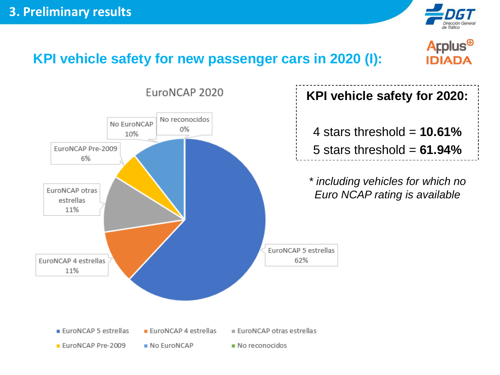

#### Applus<sup>®</sup> **IDIADA**



**KPI vehicle safety for new passenger cars in 2020 (I):**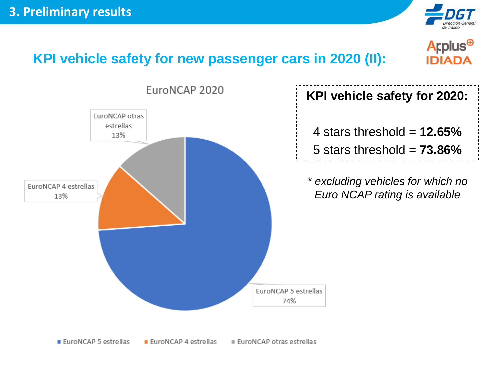

#### Applus<sup>®</sup> **IDIADA**



**KPI vehicle safety for new passenger cars in 2020 (II):**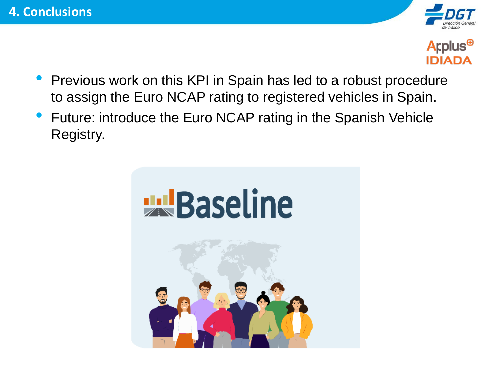



- Previous work on this KPI in Spain has led to a robust procedure to assign the Euro NCAP rating to registered vehicles in Spain.
- Future: introduce the Euro NCAP rating in the Spanish Vehicle Registry.